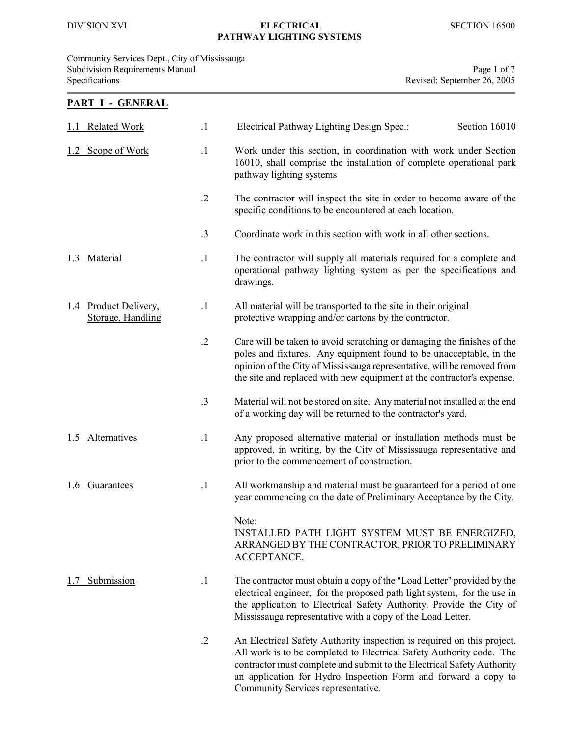PART I - GENERAL

### DIVISION XVI ELECTRICAL SECTION 16500 PATHWAY LIGHTING SYSTEMS

Community Services Dept., City of Mississauga Subdivision Requirements Manual Page 1 of 7 Specifications Revised: September 26, 2005

# 1.1 Related Work .1 Electrical Pathway Lighting Design Spec.: Section 16010 1.2 Scope of Work .1 Work under this section, in coordination with work under Section 16010, shall comprise the installation of complete operational park pathway lighting systems .2 The contractor will inspect the site in order to become aware of the specific conditions to be encountered at each location. .3 Coordinate work in this section with work in all other sections. 1.3 Material .1 The contractor will supply all materials required for a complete and operational pathway lighting system as per the specifications and drawings. 1.4 Product Delivery, 1.1 All material will be transported to the site in their original<br>Storage, Handling protective wrapping and/or cartons by the contractor. protective wrapping and/or cartons by the contractor. .2 Care will be taken to avoid scratching or damaging the finishes of the poles and fixtures. Any equipment found to be unacceptable, in the opinion of the City of Mississauga representative, will be removed from the site and replaced with new equipment at the contractor's expense. .3 Material will not be stored on site. Any material not installed at the end of a working day will be returned to the contractor's yard. 1.5 Alternatives .1 Any proposed alternative material or installation methods must be approved, in writing, by the City of Mississauga representative and prior to the commencement of construction. 1.6 Guarantees .1 All workmanship and material must be guaranteed for a period of one year commencing on the date of Preliminary Acceptance by the City. Note: INSTALLED PATH LIGHT SYSTEM MUST BE ENERGIZED, ARRANGED BY THE CONTRACTOR, PRIOR TO PRELIMINARY ACCEPTANCE. 1.7 Submission 1 The contractor must obtain a copy of the "Load Letter" provided by the electrical engineer, for the proposed path light system, for the use in the application to Electrical Safety Authority. Provide the City of Mississauga representative with a copy of the Load Letter. .2 An Electrical Safety Authority inspection is required on this project. All work is to be completed to Electrical Safety Authority code. The contractor must complete and submit to the Electrical Safety Authority an application for Hydro Inspection Form and forward a copy to

Community Services representative.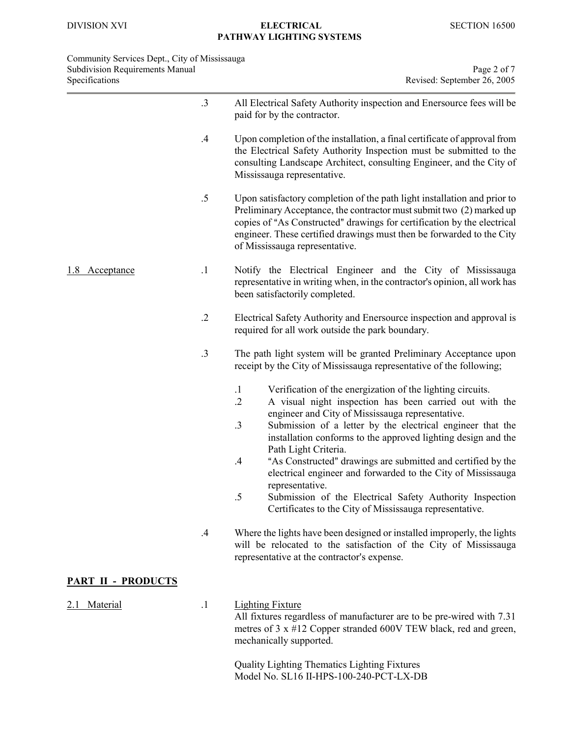| Community Services Dept., City of Mississauga<br><b>Subdivision Requirements Manual</b><br>Specifications |                 | Page 2 of 7<br>Revised: September 26, 2005                                                                                                                                                                                                                                                                                                                               |
|-----------------------------------------------------------------------------------------------------------|-----------------|--------------------------------------------------------------------------------------------------------------------------------------------------------------------------------------------------------------------------------------------------------------------------------------------------------------------------------------------------------------------------|
|                                                                                                           | $.3\phantom{0}$ | All Electrical Safety Authority inspection and Enersource fees will be<br>paid for by the contractor.                                                                                                                                                                                                                                                                    |
|                                                                                                           | $.4\,$          | Upon completion of the installation, a final certificate of approval from<br>the Electrical Safety Authority Inspection must be submitted to the<br>consulting Landscape Architect, consulting Engineer, and the City of<br>Mississauga representative.                                                                                                                  |
|                                                                                                           | $.5\,$          | Upon satisfactory completion of the path light installation and prior to<br>Preliminary Acceptance, the contractor must submit two (2) marked up<br>copies of "As Constructed" drawings for certification by the electrical<br>engineer. These certified drawings must then be forwarded to the City<br>of Mississauga representative.                                   |
| <u>1.8 Acceptance</u>                                                                                     | $\cdot$         | Notify the Electrical Engineer and the City of Mississauga<br>representative in writing when, in the contractor's opinion, all work has<br>been satisfactorily completed.                                                                                                                                                                                                |
|                                                                                                           | $\cdot$ .2      | Electrical Safety Authority and Enersource inspection and approval is<br>required for all work outside the park boundary.                                                                                                                                                                                                                                                |
|                                                                                                           | $.3\,$          | The path light system will be granted Preliminary Acceptance upon<br>receipt by the City of Mississauga representative of the following;                                                                                                                                                                                                                                 |
|                                                                                                           |                 | Verification of the energization of the lighting circuits.<br>$\cdot$ 1<br>A visual night inspection has been carried out with the<br>$\cdot$ .2<br>engineer and City of Mississauga representative.<br>$\cdot$ 3<br>Submission of a letter by the electrical engineer that the<br>installation conforms to the approved lighting design and the<br>Path Light Criteria. |
|                                                                                                           |                 | "As Constructed" drawings are submitted and certified by the<br>.4<br>electrical engineer and forwarded to the City of Mississauga<br>representative.<br>$.5\,$<br>Submission of the Electrical Safety Authority Inspection                                                                                                                                              |
|                                                                                                           |                 | Certificates to the City of Mississauga representative.                                                                                                                                                                                                                                                                                                                  |
|                                                                                                           | $.4\,$          | Where the lights have been designed or installed improperly, the lights<br>will be relocated to the satisfaction of the City of Mississauga<br>representative at the contractor's expense.                                                                                                                                                                               |
| <b>PART II - PRODUCTS</b>                                                                                 |                 |                                                                                                                                                                                                                                                                                                                                                                          |
| <b>Material</b><br>2.1                                                                                    | $\cdot$ 1       | <b>Lighting Fixture</b><br>All fixtures regardless of manufacturer are to be pre-wired with 7.31<br>metres of 3 x #12 Copper stranded 600V TEW black, red and green,<br>mechanically supported.                                                                                                                                                                          |
|                                                                                                           |                 |                                                                                                                                                                                                                                                                                                                                                                          |

Quality Lighting Thematics Lighting Fixtures Model No. SL16 II-HPS-100-240-PCT-LX-DB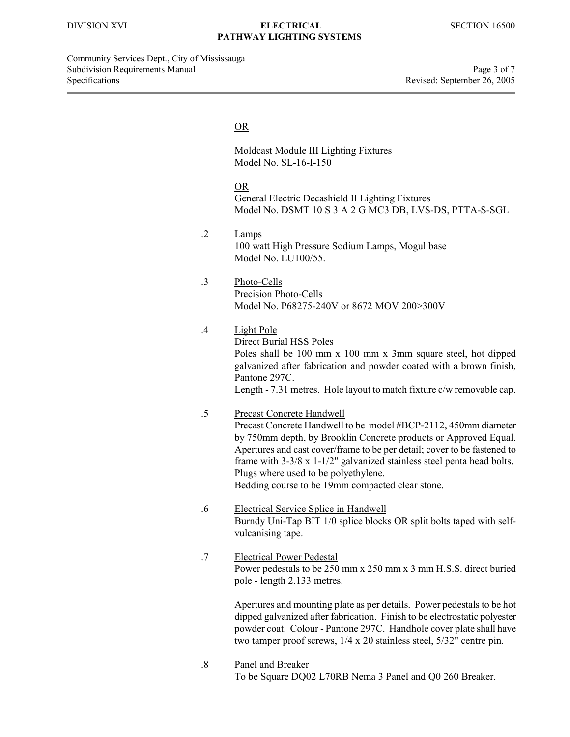Community Services Dept., City of Mississauga Subdivision Requirements Manual Page 3 of 7 Specifications Revised: September 26, 2005

#### **OR** Service Service Service Service Service Service Service Service Service Service Service Service Service Service Service Service Service Service Service Service Service Service Service Service Service Service Service S

Moldcast Module III Lighting Fixtures Model No. SL-16-I-150

OR General Electric Decashield II Lighting Fixtures Model No. DSMT 10 S 3 A 2 G MC3 DB, LVS-DS, PTTA-S-SGL

.2 Lamps 100 watt High Pressure Sodium Lamps, Mogul base Model No. LU100/55.

.3 Photo-Cells Precision Photo-Cells Model No. P68275-240V or 8672 MOV 200>300V

## .4 Light Pole

Direct Burial HSS Poles Poles shall be 100 mm x 100 mm x 3mm square steel, hot dipped galvanized after fabrication and powder coated with a brown finish, Pantone 297C. Length - 7.31 metres. Hole layout to match fixture c/w removable cap.

- .5 Precast Concrete Handwell Precast Concrete Handwell to be model #BCP-2112, 450mm diameter by 750mm depth, by Brooklin Concrete products or Approved Equal. Apertures and cast cover/frame to be per detail; cover to be fastened to frame with 3-3/8 x 1-1/2" galvanized stainless steel penta head bolts. Plugs where used to be polyethylene. Bedding course to be 19mm compacted clear stone.
- .6 Electrical Service Splice in Handwell Burndy Uni-Tap BIT 1/0 splice blocks OR split bolts taped with selfvulcanising tape.
- .7 Electrical Power Pedestal Power pedestals to be 250 mm x 250 mm x 3 mm H.S.S. direct buried pole - length 2.133 metres.

Apertures and mounting plate as per details. Power pedestals to be hot dipped galvanized after fabrication. Finish to be electrostatic polyester powder coat. Colour - Pantone 297C. Handhole cover plate shall have two tamper proof screws, 1/4 x 20 stainless steel, 5/32" centre pin.

.8 Panel and Breaker To be Square DQ02 L70RB Nema 3 Panel and Q0 260 Breaker.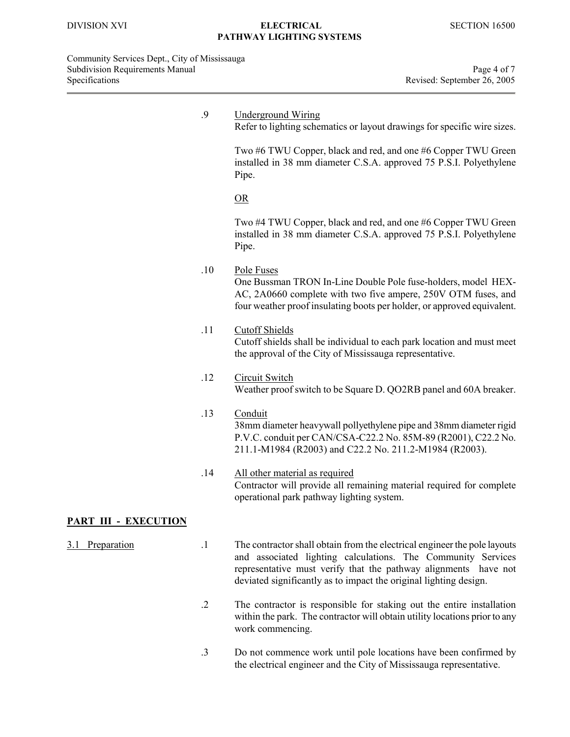Community Services Dept., City of Mississauga Subdivision Requirements Manual Page 4 of 7<br>Specifications Revised: September 26, 2005

|                              | .9        | <b>Underground Wiring</b><br>Refer to lighting schematics or layout drawings for specific wire sizes.                                                                                                                                                                             |
|------------------------------|-----------|-----------------------------------------------------------------------------------------------------------------------------------------------------------------------------------------------------------------------------------------------------------------------------------|
|                              |           | Two #6 TWU Copper, black and red, and one #6 Copper TWU Green<br>installed in 38 mm diameter C.S.A. approved 75 P.S.I. Polyethylene<br>Pipe.                                                                                                                                      |
|                              |           | OR                                                                                                                                                                                                                                                                                |
|                              |           | Two #4 TWU Copper, black and red, and one #6 Copper TWU Green<br>installed in 38 mm diameter C.S.A. approved 75 P.S.I. Polyethylene<br>Pipe.                                                                                                                                      |
|                              | .10       | Pole Fuses<br>One Bussman TRON In-Line Double Pole fuse-holders, model HEX-<br>AC, 2A0660 complete with two five ampere, 250V OTM fuses, and<br>four weather proof insulating boots per holder, or approved equivalent.                                                           |
|                              | .11       | <b>Cutoff Shields</b><br>Cutoff shields shall be individual to each park location and must meet<br>the approval of the City of Mississauga representative.                                                                                                                        |
|                              | .12       | <b>Circuit Switch</b><br>Weather proof switch to be Square D. QO2RB panel and 60A breaker.                                                                                                                                                                                        |
|                              | .13       | Conduit<br>38mm diameter heavywall pollyethylene pipe and 38mm diameter rigid<br>P.V.C. conduit per CAN/CSA-C22.2 No. 85M-89 (R2001), C22.2 No.<br>211.1-M1984 (R2003) and C22.2 No. 211.2-M1984 (R2003).                                                                         |
|                              | .14       | All other material as required<br>Contractor will provide all remaining material required for complete<br>operational park pathway lighting system.                                                                                                                               |
| <u> PART III - EXECUTION</u> |           |                                                                                                                                                                                                                                                                                   |
| 3.1<br>Preparation           | $\cdot$ 1 | The contractor shall obtain from the electrical engineer the pole layouts<br>and associated lighting calculations. The Community Services<br>representative must verify that the pathway alignments have not<br>deviated significantly as to impact the original lighting design. |

- .2 The contractor is responsible for staking out the entire installation within the park. The contractor will obtain utility locations prior to any work commencing.
- .3 Do not commence work until pole locations have been confirmed by the electrical engineer and the City of Mississauga representative.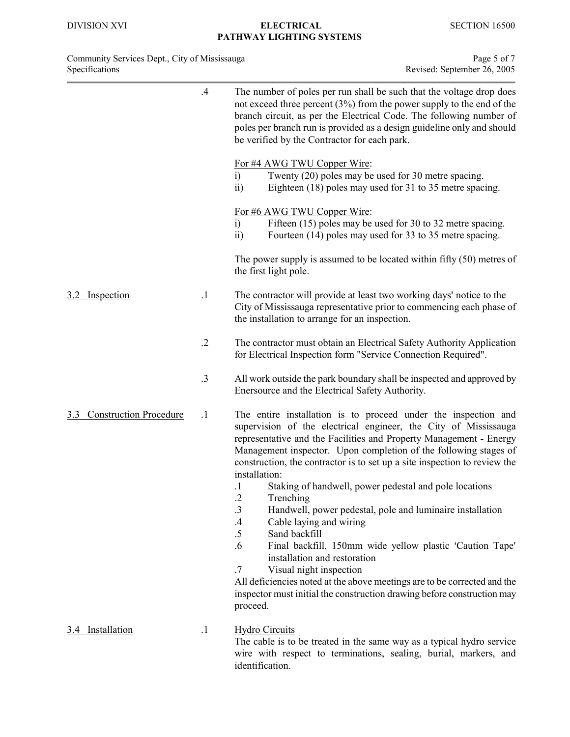| Community Services Dept., City of Mississauga | Page 5 of 7                 |
|-----------------------------------------------|-----------------------------|
| <b>Specifications</b>                         | Revised: September 26, 2005 |

|                                      | .4         | The number of poles per run shall be such that the voltage drop does<br>not exceed three percent $(3%)$ from the power supply to the end of the<br>branch circuit, as per the Electrical Code. The following number of<br>poles per branch run is provided as a design guideline only and should<br>be verified by the Contractor for each park.                          |
|--------------------------------------|------------|---------------------------------------------------------------------------------------------------------------------------------------------------------------------------------------------------------------------------------------------------------------------------------------------------------------------------------------------------------------------------|
|                                      |            | For #4 AWG TWU Copper Wire:<br>Twenty (20) poles may be used for 30 metre spacing.<br>i)<br>Eighteen (18) poles may used for 31 to 35 metre spacing.<br>$\overline{ii}$                                                                                                                                                                                                   |
|                                      |            | For #6 AWG TWU Copper Wire:<br>Fifteen (15) poles may be used for 30 to 32 metre spacing.<br>$\ddot{1}$<br>Fourteen (14) poles may used for 33 to 35 metre spacing.<br>$\overline{ii}$                                                                                                                                                                                    |
|                                      |            | The power supply is assumed to be located within fifty $(50)$ metres of<br>the first light pole.                                                                                                                                                                                                                                                                          |
| Inspection                           | $\cdot$ 1  | The contractor will provide at least two working days' notice to the<br>City of Mississauga representative prior to commencing each phase of<br>the installation to arrange for an inspection.                                                                                                                                                                            |
|                                      | $\cdot$ .2 | The contractor must obtain an Electrical Safety Authority Application<br>for Electrical Inspection form "Service Connection Required".                                                                                                                                                                                                                                    |
|                                      | $\cdot$ 3  | All work outside the park boundary shall be inspected and approved by<br>Enersource and the Electrical Safety Authority.                                                                                                                                                                                                                                                  |
| <b>Construction Procedure</b><br>3.3 | $\cdot$ 1  | The entire installation is to proceed under the inspection and<br>supervision of the electrical engineer, the City of Mississauga<br>representative and the Facilities and Property Management - Energy<br>Management inspector. Upon completion of the following stages of<br>construction, the contractor is to set up a site inspection to review the<br>installation: |
|                                      |            | Staking of handwell, power pedestal and pole locations<br>$\cdot$ 1<br>$\cdot$<br>Trenching<br>.3<br>Handwell, power pedestal, pole and luminaire installation<br>Cable laying and wiring<br>.4                                                                                                                                                                           |
|                                      |            | $.5\,$<br>Sand backfill<br>.6<br>Final backfill, 150mm wide yellow plastic 'Caution Tape'<br>installation and restoration                                                                                                                                                                                                                                                 |
|                                      |            | Visual night inspection<br>.7<br>All deficiencies noted at the above meetings are to be corrected and the<br>inspector must initial the construction drawing before construction may<br>proceed.                                                                                                                                                                          |
| 3.4 Installation                     | $\cdot$    | <b>Hydro Circuits</b>                                                                                                                                                                                                                                                                                                                                                     |

The cable is to be treated in the same way as a typical hydro service wire with respect to terminations, sealing, burial, markers, and identification.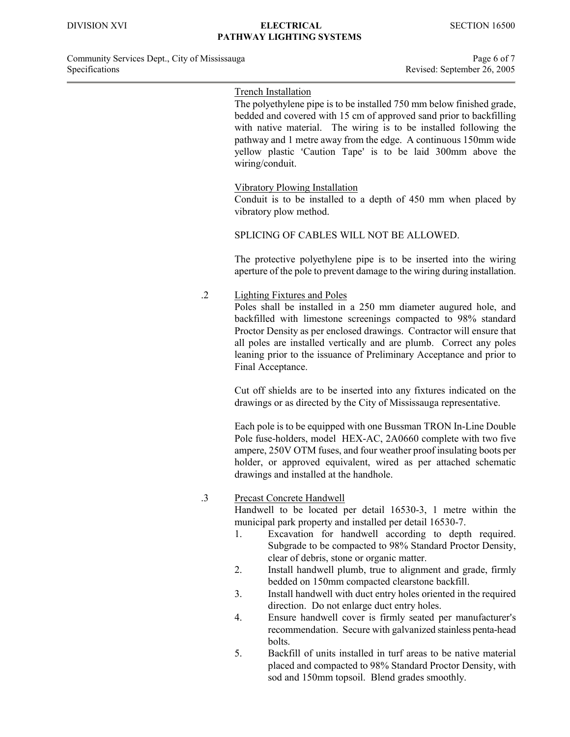# Trench Installation

The polyethylene pipe is to be installed 750 mm below finished grade, bedded and covered with 15 cm of approved sand prior to backfilling with native material. The wiring is to be installed following the pathway and 1 metre away from the edge. A continuous 150mm wide yellow plastic 'Caution Tape' is to be laid 300mm above the wiring/conduit.

#### Vibratory Plowing Installation

Conduit is to be installed to a depth of 450 mm when placed by vibratory plow method.

## SPLICING OF CABLES WILL NOT BE ALLOWED.

The protective polyethylene pipe is to be inserted into the wiring aperture of the pole to prevent damage to the wiring during installation.

.2 Lighting Fixtures and Poles

Poles shall be installed in a 250 mm diameter augured hole, and backfilled with limestone screenings compacted to 98% standard Proctor Density as per enclosed drawings. Contractor will ensure that all poles are installed vertically and are plumb. Correct any poles leaning prior to the issuance of Preliminary Acceptance and prior to Final Acceptance.

Cut off shields are to be inserted into any fixtures indicated on the drawings or as directed by the City of Mississauga representative.

Each pole is to be equipped with one Bussman TRON In-Line Double Pole fuse-holders, model HEX-AC, 2A0660 complete with two five ampere, 250V OTM fuses, and four weather proof insulating boots per holder, or approved equivalent, wired as per attached schematic drawings and installed at the handhole.

.3 Precast Concrete Handwell

Handwell to be located per detail 16530-3, 1 metre within the municipal park property and installed per detail 16530-7.

- 1. Excavation for handwell according to depth required. Subgrade to be compacted to 98% Standard Proctor Density, clear of debris, stone or organic matter.
- 2. Install handwell plumb, true to alignment and grade, firmly bedded on 150mm compacted clearstone backfill.
- 3. Install handwell with duct entry holes oriented in the required direction. Do not enlarge duct entry holes.
- 4. Ensure handwell cover is firmly seated per manufacturer's recommendation. Secure with galvanized stainless penta-head bolts.
- 5. Backfill of units installed in turf areas to be native material placed and compacted to 98% Standard Proctor Density, with sod and 150mm topsoil. Blend grades smoothly.